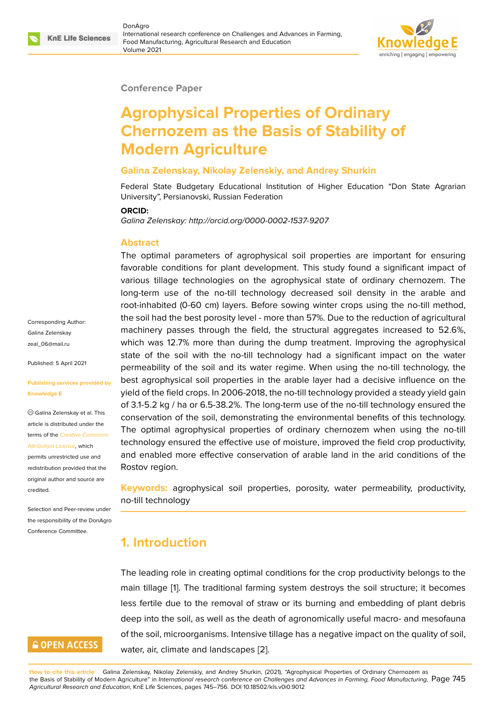

#### **Conference Paper**

# **Agrophysical Properties of Ordinary Chernozem as the Basis of Stability of Modern Agriculture**

#### **Galina Zelenskay, Nikolay Zelenskiy, and Andrey Shurkin**

Federal State Budgetary Educational Institution of Higher Education "Don State Agrarian University", Persianovski, Russian Federation

#### **ORCID:**

*Galina Zelenskay: http://orcid.org/0000-0002-1537-9207*

#### **Abstract**

The optimal parameters of agrophysical soil properties are important for ensuring favorable conditions for plant development. This study found a significant impact of various tillage technologies on the agrophysical state of ordinary chernozem. The long-term use of the no-till technology decreased soil density in the arable and root-inhabited (0-60 cm) layers. Before sowing winter crops using the no-till method, the soil had the best porosity level - more than 57%. Due to the reduction of agricultural machinery passes through the field, the structural aggregates increased to 52.6%, which was 12.7% more than during the dump treatment. Improving the agrophysical state of the soil with the no-till technology had a significant impact on the water permeability of the soil and its water regime. When using the no-till technology, the best agrophysical soil properties in the arable layer had a decisive influence on the yield of the field crops. In 2006-2018, the no-till technology provided a steady yield gain of 3.1-5.2 kg / ha or 6.5-38.2%. The long-term use of the no-till technology ensured the conservation of the soil, demonstrating the environmental benefits of this technology. The optimal agrophysical properties of ordinary chernozem when using the no-till technology ensured the effective use of moisture, improved the field crop productivity, and enabled more effective conservation of arable land in the arid conditions of the Rostov region.

**Keywords:** agrophysical soil properties, porosity, water permeability, productivity, no-till technology

# **1. Introduction**

The leading role in creating optimal conditions for the crop productivity belongs to the main tillage [1]. The traditional farming system destroys the soil structure; it becomes less fertile due to the removal of straw or its burning and embedding of plant debris deep into the soil, as well as the death of agronomically useful macro- and mesofauna of the soil, mi[c](#page-10-0)roorganisms. Intensive tillage has a negative impact on the quality of soil, water, air, climate and landscapes [2].

Corresponding Author: Galina Zelenskay zeal\_06@mail.ru

Published: 5 April 2021

#### **[Publishing servi](mailto:zeal_06@mail.ru)ces provided by Knowledge E**

Galina Zelenskay et al. This article is distributed under the terms of the Creative Commons Attribution License, which

permits unrestricted use and redistribution provided that the original auth[or and source are](https://creativecommons.org/licenses/by/4.0/) [credited.](https://creativecommons.org/licenses/by/4.0/)

Selection and Peer-review under the responsibility of the DonAgro Conference Committee.

# **GOPEN ACCESS**

**How to cite this article**: Galina Zelenskay, Nikolay Zelenskiy, and Andrey Shurkin, (2021), "Agrophysical Properties of Ordinary Chernozem as the Basis of Stability of Modern Agriculture" in *International research conference on Challenges and Advances in Farming, Food Manufacturing,* Page 745 *Agricultural Research and Education*, KnE Life Sciences, pages 745–756. DOI 10.185[02](#page-10-1)/kls.v0i0.9012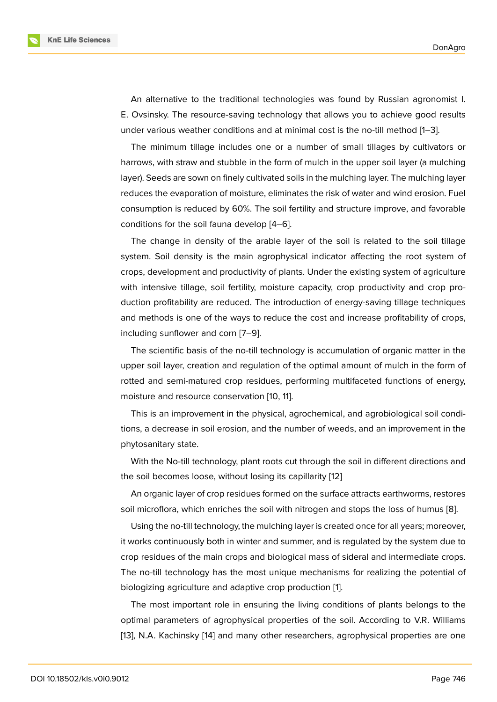An alternative to the traditional technologies was found by Russian agronomist I. E. Ovsinsky. The resource-saving technology that allows you to achieve good results under various weather conditions and at minimal cost is the no-till method [1–3].

The minimum tillage includes one or a number of small tillages by cultivators or harrows, with straw and stubble in the form of mulch in the upper soil layer (a mulching layer). Seeds are sown on finely cultivated soils in the mulching layer. The mu[lc](#page-10-0)[hin](#page-10-2)g layer reduces the evaporation of moisture, eliminates the risk of water and wind erosion. Fuel consumption is reduced by 60%. The soil fertility and structure improve, and favorable conditions for the soil fauna develop [4–6].

The change in density of the arable layer of the soil is related to the soil tillage system. Soil density is the main agrophysical indicator affecting the root system of crops, development and productivity [of](#page-10-3) [pla](#page-10-4)nts. Under the existing system of agriculture with intensive tillage, soil fertility, moisture capacity, crop productivity and crop production profitability are reduced. The introduction of energy-saving tillage techniques and methods is one of the ways to reduce the cost and increase profitability of crops, including sunflower and corn [7–9].

The scientific basis of the no-till technology is accumulation of organic matter in the upper soil layer, creation and regulation of the optimal amount of mulch in the form of rotted and semi-matured cro[p](#page-10-5) r[es](#page-11-0)idues, performing multifaceted functions of energy, moisture and resource conservation [10, 11].

This is an improvement in the physical, agrochemical, and agrobiological soil conditions, a decrease in soil erosion, and the number of weeds, and an improvement in the phytosanitary state.

With the No-till technology, plant roots cut through the soil in different directions and the soil becomes loose, without losing its capillarity [12]

An organic layer of crop residues formed on the surface attracts earthworms, restores soil microflora, which enriches the soil with nitrogen and stops the loss of humus [8].

Using the no-till technology, the mulching layer is c[rea](#page-11-1)ted once for all years; moreover, it works continuously both in winter and summer, and is regulated by the system due to crop residues of the main crops and biological mass of sideral and intermediate c[ro](#page-10-6)ps. The no-till technology has the most unique mechanisms for realizing the potential of biologizing agriculture and adaptive crop production [1].

The most important role in ensuring the living conditions of plants belongs to the optimal parameters of agrophysical properties of the soil. According to V.R. Williams [13], N.A. Kachinsky [14] [a](#page-10-0)nd many other researchers, agrophysical properties are one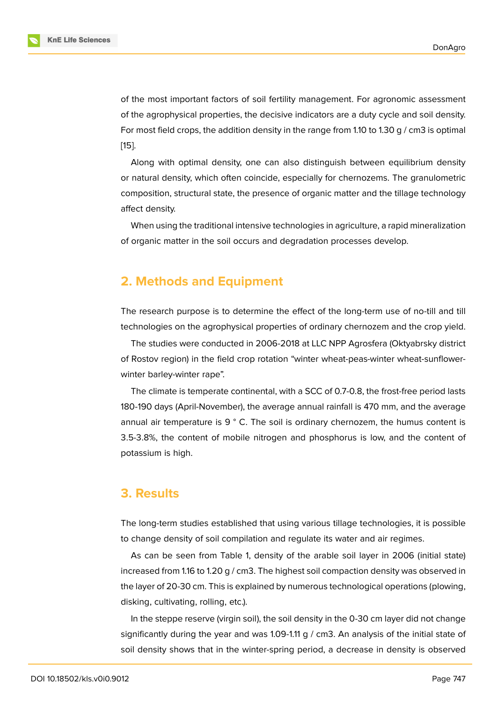of the most important factors of soil fertility management. For agronomic assessment of the agrophysical properties, the decisive indicators are a duty cycle and soil density. For most field crops, the addition density in the range from 1.10 to 1.30 g / cm3 is optimal [15].

Along with optimal density, one can also distinguish between equilibrium density or natural density, which often coincide, especially for chernozems. The granulometric [com](#page-11-3)position, structural state, the presence of organic matter and the tillage technology affect density.

When using the traditional intensive technologies in agriculture, a rapid mineralization of organic matter in the soil occurs and degradation processes develop.

# **2. Methods and Equipment**

The research purpose is to determine the effect of the long-term use of no-till and till technologies on the agrophysical properties of ordinary chernozem and the crop yield.

The studies were conducted in 2006-2018 at LLC NPP Agrosfera (Oktyabrsky district of Rostov region) in the field crop rotation "winter wheat-peas-winter wheat-sunflowerwinter barley-winter rape".

The climate is temperate continental, with a SCC of 0.7-0.8, the frost-free period lasts 180-190 days (April-November), the average annual rainfall is 470 mm, and the average annual air temperature is  $9°$  C. The soil is ordinary chernozem, the humus content is 3.5-3.8%, the content of mobile nitrogen and phosphorus is low, and the content of potassium is high.

#### **3. Results**

The long-term studies established that using various tillage technologies, it is possible to change density of soil compilation and regulate its water and air regimes.

As can be seen from Table 1, density of the arable soil layer in 2006 (initial state) increased from 1.16 to 1.20 g / cm3. The highest soil compaction density was observed in the layer of 20-30 cm. This is explained by numerous technological operations (plowing, disking, cultivating, rolling, etc.).

In the steppe reserve (virgin soil), the soil density in the 0-30 cm layer did not change significantly during the year and was 1.09-1.11 g  $/$  cm3. An analysis of the initial state of soil density shows that in the winter-spring period, a decrease in density is observed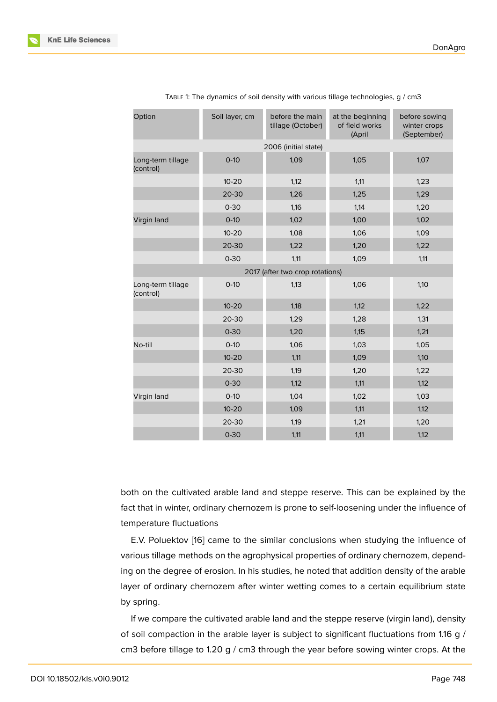| Option                         | Soil layer, cm | before the main<br>tillage (October) | at the beginning<br>of field works<br>(April | before sowing<br>winter crops<br>(September) |
|--------------------------------|----------------|--------------------------------------|----------------------------------------------|----------------------------------------------|
|                                |                | 2006 (initial state)                 |                                              |                                              |
| Long-term tillage<br>(control) | $O-10$         | 1,09                                 | 1,05                                         | 1,07                                         |
|                                | $10 - 20$      | 1,12                                 | 1,11                                         | 1,23                                         |
|                                | 20-30          | 1,26                                 | 1,25                                         | 1,29                                         |
|                                | $0 - 30$       | 1,16                                 | 1,14                                         | 1,20                                         |
| Virgin land                    | $O-10$         | 1,02                                 | 1,00                                         | 1,02                                         |
|                                | $10 - 20$      | 1,08                                 | 1,06                                         | 1,09                                         |
|                                | 20-30          | 1,22                                 | 1,20                                         | 1,22                                         |
|                                | $0 - 30$       | 1,11                                 | 1,09                                         | 1,11                                         |
|                                |                | 2017 (after two crop rotations)      |                                              |                                              |
| Long-term tillage<br>(control) | $0-10$         | 1,13                                 | 1,06                                         | 1,10                                         |
|                                | $10 - 20$      | 1,18                                 | 1,12                                         | 1,22                                         |
|                                | 20-30          | 1,29                                 | 1,28                                         | 1,31                                         |
|                                | $0 - 30$       | 1,20                                 | 1,15                                         | 1,21                                         |
| No-till                        | $0-10$         | 1,06                                 | 1,03                                         | 1,05                                         |
|                                | $10 - 20$      | 1,11                                 | 1,09                                         | 1,10                                         |
|                                | 20-30          | 1,19                                 | 1,20                                         | 1,22                                         |
|                                | $0 - 30$       | 1,12                                 | 1,11                                         | 1,12                                         |
| Virgin land                    | $O-10$         | 1,04                                 | 1,02                                         | 1,03                                         |
|                                | $10 - 20$      | 1,09                                 | 1,11                                         | 1,12                                         |
|                                | 20-30          | 1,19                                 | 1,21                                         | 1,20                                         |
|                                | $0 - 30$       | 1,11                                 | 1,11                                         | 1,12                                         |

|  |  |  |  | TABLE 1: The dynamics of soil density with various tillage technologies, g / cm3 |  |  |
|--|--|--|--|----------------------------------------------------------------------------------|--|--|
|  |  |  |  |                                                                                  |  |  |
|  |  |  |  |                                                                                  |  |  |
|  |  |  |  |                                                                                  |  |  |

both on the cultivated arable land and steppe reserve. This can be explained by the fact that in winter, ordinary chernozem is prone to self-loosening under the influence of temperature fluctuations

E.V. Poluektov [16] came to the similar conclusions when studying the influence of various tillage methods on the agrophysical properties of ordinary chernozem, depending on the degree of erosion. In his studies, he noted that addition density of the arable layer of ordinary [che](#page-11-4)rnozem after winter wetting comes to a certain equilibrium state by spring.

If we compare the cultivated arable land and the steppe reserve (virgin land), density of soil compaction in the arable layer is subject to significant fluctuations from 1.16 g / cm3 before tillage to 1.20 g / cm3 through the year before sowing winter crops. At the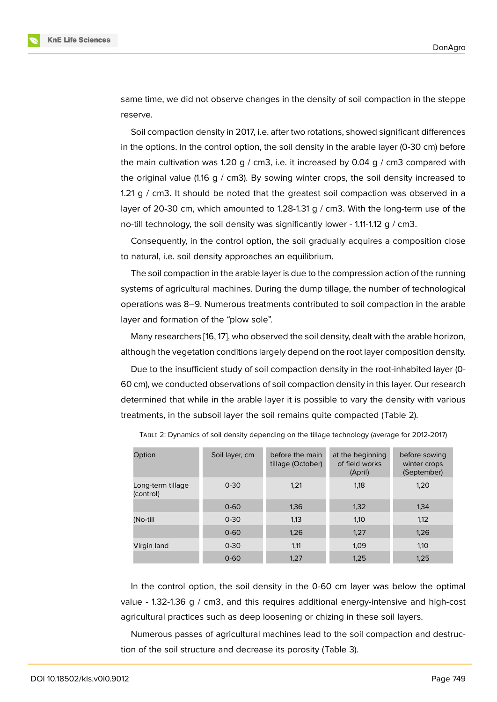same time, we did not observe changes in the density of soil compaction in the steppe reserve.

Soil compaction density in 2017, i.e. after two rotations, showed significant differences in the options. In the control option, the soil density in the arable layer (0-30 cm) before the main cultivation was 1.20 g / cm3, i.e. it increased by 0.04 g / cm3 compared with the original value (1.16 g / cm3). By sowing winter crops, the soil density increased to 1.21 g / cm3. It should be noted that the greatest soil compaction was observed in a layer of 20-30 cm, which amounted to 1.28-1.31 g / cm3. With the long-term use of the no-till technology, the soil density was significantly lower - 1.11-1.12 g / cm3.

Consequently, in the control option, the soil gradually acquires a composition close to natural, i.e. soil density approaches an equilibrium.

The soil compaction in the arable layer is due to the compression action of the running systems of agricultural machines. During the dump tillage, the number of technological operations was 8–9. Numerous treatments contributed to soil compaction in the arable layer and formation of the "plow sole".

Many researchers [16, 17], who observed the soil density, dealt with the arable horizon, although the vegetation conditions largely depend on the root layer composition density.

Due to the insufficient study of soil compaction density in the root-inhabited layer (0- 60 cm), we conducte[d o](#page-11-4)[bse](#page-11-5)rvations of soil compaction density in this layer. Our research determined that while in the arable layer it is possible to vary the density with various treatments, in the subsoil layer the soil remains quite compacted (Table 2).

| Option                         | Soil layer, cm | before the main<br>tillage (October) | at the beginning<br>of field works<br>(April) | before sowing<br>winter crops<br>(September) |
|--------------------------------|----------------|--------------------------------------|-----------------------------------------------|----------------------------------------------|
| Long-term tillage<br>(control) | $0 - 30$       | 1.21                                 | 1,18                                          | 1,20                                         |
|                                | $0 - 60$       | 1,36                                 | 1,32                                          | 1,34                                         |
| (No-till                       | $0 - 30$       | 1,13                                 | 1,10                                          | 1,12                                         |
|                                | $0 - 60$       | 1,26                                 | 1.27                                          | 1,26                                         |
| Virgin land                    | $0 - 30$       | 1,11                                 | 1,09                                          | 1,10                                         |
|                                | $0 - 60$       | 1,27                                 | 1,25                                          | 1,25                                         |

TABLE 2: Dynamics of soil density depending on the tillage technology (average for 2012-2017)

In the control option, the soil density in the 0-60 cm layer was below the optimal value - 1.32-1.36 g / cm3, and this requires additional energy-intensive and high-cost agricultural practices such as deep loosening or chizing in these soil layers.

Numerous passes of agricultural machines lead to the soil compaction and destruction of the soil structure and decrease its porosity (Table 3).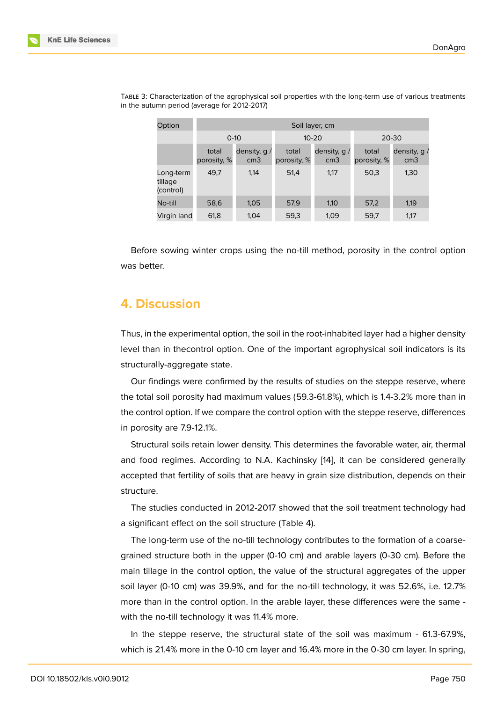| Option                            | Soil layer, cm       |                                   |                      |                                 |                      |                                  |  |
|-----------------------------------|----------------------|-----------------------------------|----------------------|---------------------------------|----------------------|----------------------------------|--|
|                                   | $0 - 10$             |                                   |                      | $10 - 20$                       | 20-30                |                                  |  |
|                                   | total<br>porosity, % | density, $q /$<br>cm <sub>3</sub> | total<br>porosity, % | density, $q$<br>cm <sub>3</sub> | total<br>porosity, % | density, $q/$<br>cm <sub>3</sub> |  |
| Long-term<br>tillage<br>(control) | 49,7                 | 1,14                              | 51,4                 | 1,17                            | 50,3                 | 1,30                             |  |
| No-till                           | 58,6                 | 1,05                              | 57,9                 | 1,10                            | 57,2                 | 1,19                             |  |
| Virgin land                       | 61,8                 | 1,04                              | 59,3                 | 1,09                            | 59,7                 | 1,17                             |  |

TABLE 3: Characterization of the agrophysical soil properties with the long-term use of various treatments in the autumn period (average for 2012-2017)

Before sowing winter crops using the no-till method, porosity in the control option was better.

### **4. Discussion**

Thus, in the experimental option, the soil in the root-inhabited layer had a higher density level than in thecontrol option. One of the important agrophysical soil indicators is its structurally-aggregate state.

Our findings were confirmed by the results of studies on the steppe reserve, where the total soil porosity had maximum values (59.3-61.8%), which is 1.4-3.2% more than in the control option. If we compare the control option with the steppe reserve, differences in porosity are 7.9-12.1%.

Structural soils retain lower density. This determines the favorable water, air, thermal and food regimes. According to N.A. Kachinsky [14], it can be considered generally accepted that fertility of soils that are heavy in grain size distribution, depends on their structure.

The studies conducted in 2012-2017 showed th[at t](#page-11-6)he soil treatment technology had a significant effect on the soil structure (Table 4).

The long-term use of the no-till technology contributes to the formation of a coarsegrained structure both in the upper (0-10 cm) and arable layers (0-30 cm). Before the main tillage in the control option, the value of the structural aggregates of the upper soil layer (0-10 cm) was 39.9%, and for the no-till technology, it was 52.6%, i.e. 12.7% more than in the control option. In the arable layer, these differences were the same with the no-till technology it was 11.4% more.

In the steppe reserve, the structural state of the soil was maximum - 61.3-67.9%, which is 21.4% more in the 0-10 cm layer and 16.4% more in the 0-30 cm layer. In spring,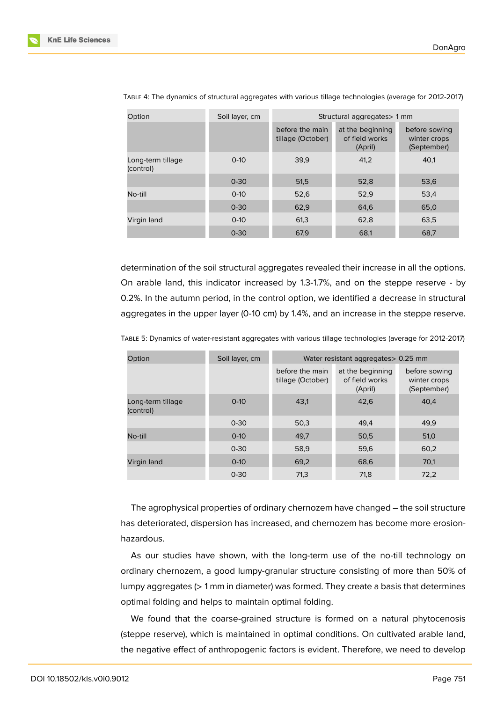| Option                         | Soil layer, cm | Structural aggregates > 1 mm         |                                               |                                              |  |  |
|--------------------------------|----------------|--------------------------------------|-----------------------------------------------|----------------------------------------------|--|--|
|                                |                | before the main<br>tillage (October) | at the beginning<br>of field works<br>(April) | before sowing<br>winter crops<br>(September) |  |  |
| Long-term tillage<br>(control) | $0-10$         | 39.9                                 | 41,2                                          | 40.1                                         |  |  |
|                                | $0 - 30$       | 51,5                                 | 52,8                                          | 53,6                                         |  |  |
| No-till                        | $0-10$         | 52,6                                 | 52,9                                          | 53,4                                         |  |  |
|                                | $0 - 30$       | 62,9                                 | 64,6                                          | 65,0                                         |  |  |
| Virgin land                    | $0-10$         | 61,3                                 | 62,8                                          | 63,5                                         |  |  |
|                                | $0 - 30$       | 67,9                                 | 68,1                                          | 68,7                                         |  |  |

TABLE 4: The dynamics of structural aggregates with various tillage technologies (average for 2012-2017)

determination of the soil structural aggregates revealed their increase in all the options. On arable land, this indicator increased by 1.3-1.7%, and on the steppe reserve - by 0.2%. In the autumn period, in the control option, we identified a decrease in structural aggregates in the upper layer (0-10 cm) by 1.4%, and an increase in the steppe reserve.

TABLE 5: Dynamics of water-resistant aggregates with various tillage technologies (average for 2012-2017)

| Option                         | Soil layer, cm | Water resistant aggregates > 0.25 mm |                                               |                                              |  |  |
|--------------------------------|----------------|--------------------------------------|-----------------------------------------------|----------------------------------------------|--|--|
|                                |                | before the main<br>tillage (October) | at the beginning<br>of field works<br>(April) | before sowing<br>winter crops<br>(September) |  |  |
| Long-term tillage<br>(control) | $0-10$         | 43,1                                 | 42.6                                          | 40.4                                         |  |  |
|                                | $0 - 30$       | 50,3                                 | 49,4                                          | 49.9                                         |  |  |
| No-till                        | $0 - 10$       | 49,7                                 | 50,5                                          | 51,0                                         |  |  |
|                                | $0 - 30$       | 58,9                                 | 59,6                                          | 60,2                                         |  |  |
| Virgin land                    | $0 - 10$       | 69,2                                 | 68,6                                          | 70,1                                         |  |  |
|                                | $0 - 30$       | 71,3                                 | 71.8                                          | 72,2                                         |  |  |

The agrophysical properties of ordinary chernozem have changed – the soil structure has deteriorated, dispersion has increased, and chernozem has become more erosionhazardous.

As our studies have shown, with the long-term use of the no-till technology on ordinary chernozem, a good lumpy-granular structure consisting of more than 50% of lumpy aggregates (> 1 mm in diameter) was formed. They create a basis that determines optimal folding and helps to maintain optimal folding.

We found that the coarse-grained structure is formed on a natural phytocenosis (steppe reserve), which is maintained in optimal conditions. On cultivated arable land, the negative effect of anthropogenic factors is evident. Therefore, we need to develop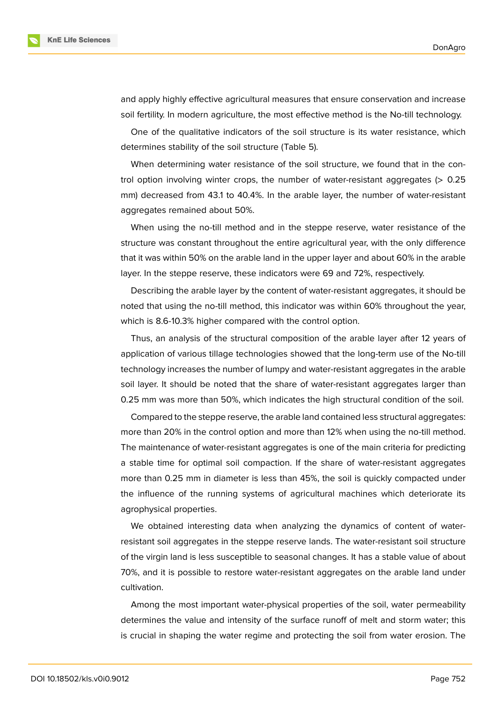



and apply highly effective agricultural measures that ensure conservation and increase soil fertility. In modern agriculture, the most effective method is the No-till technology.

One of the qualitative indicators of the soil structure is its water resistance, which determines stability of the soil structure (Table 5).

When determining water resistance of the soil structure, we found that in the control option involving winter crops, the number of water-resistant aggregates  $(> 0.25$ mm) decreased from 43.1 to 40.4%. In the arable layer, the number of water-resistant aggregates remained about 50%.

When using the no-till method and in the steppe reserve, water resistance of the structure was constant throughout the entire agricultural year, with the only difference that it was within 50% on the arable land in the upper layer and about 60% in the arable layer. In the steppe reserve, these indicators were 69 and 72%, respectively.

Describing the arable layer by the content of water-resistant aggregates, it should be noted that using the no-till method, this indicator was within 60% throughout the year, which is 8.6-10.3% higher compared with the control option.

Thus, an analysis of the structural composition of the arable layer after 12 years of application of various tillage technologies showed that the long-term use of the No-till technology increases the number of lumpy and water-resistant aggregates in the arable soil layer. It should be noted that the share of water-resistant aggregates larger than 0.25 mm was more than 50%, which indicates the high structural condition of the soil.

Compared to the steppe reserve, the arable land contained less structural aggregates: more than 20% in the control option and more than 12% when using the no-till method. The maintenance of water-resistant aggregates is one of the main criteria for predicting a stable time for optimal soil compaction. If the share of water-resistant aggregates more than 0.25 mm in diameter is less than 45%, the soil is quickly compacted under the influence of the running systems of agricultural machines which deteriorate its agrophysical properties.

We obtained interesting data when analyzing the dynamics of content of waterresistant soil aggregates in the steppe reserve lands. The water-resistant soil structure of the virgin land is less susceptible to seasonal changes. It has a stable value of about 70%, and it is possible to restore water-resistant aggregates on the arable land under cultivation.

Among the most important water-physical properties of the soil, water permeability determines the value and intensity of the surface runoff of melt and storm water; this is crucial in shaping the water regime and protecting the soil from water erosion. The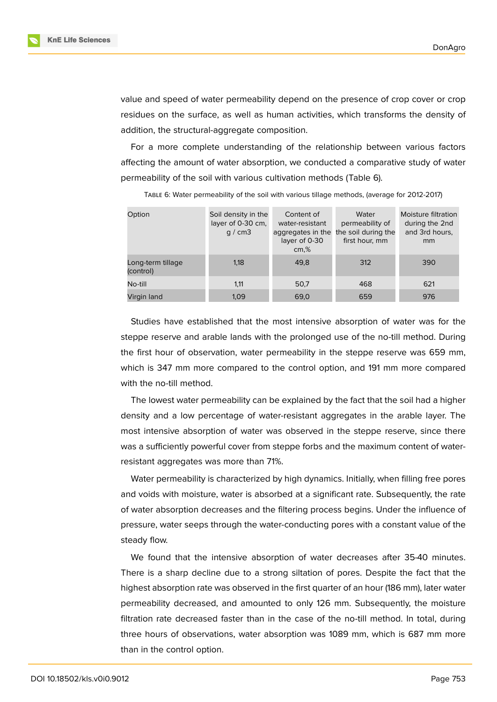

value and speed of water permeability depend on the presence of crop cover or crop residues on the surface, as well as human activities, which transforms the density of addition, the structural-aggregate composition.

For a more complete understanding of the relationship between various factors affecting the amount of water absorption, we conducted a comparative study of water permeability of the soil with various cultivation methods (Table 6).

| Option                         | Soil density in the<br>layer of 0-30 cm,<br>q / cm3 | Content of<br>water-resistant<br>aggregates in the<br>layer of 0-30<br>cm, % | Water<br>permeability of<br>the soil during the<br>first hour, mm | Moisture filtration<br>during the 2nd<br>and 3rd hours.<br>mm |
|--------------------------------|-----------------------------------------------------|------------------------------------------------------------------------------|-------------------------------------------------------------------|---------------------------------------------------------------|
| Long-term tillage<br>(control) | 1,18                                                | 49.8                                                                         | 312                                                               | 390                                                           |
| No-till                        | 1,11                                                | 50,7                                                                         | 468                                                               | 621                                                           |
| Virgin land                    | 1,09                                                | 69,0                                                                         | 659                                                               | 976                                                           |

TABLE 6: Water permeability of the soil with various tillage methods, (average for 2012-2017)

Studies have established that the most intensive absorption of water was for the steppe reserve and arable lands with the prolonged use of the no-till method. During the first hour of observation, water permeability in the steppe reserve was 659 mm, which is 347 mm more compared to the control option, and 191 mm more compared with the no-till method.

The lowest water permeability can be explained by the fact that the soil had a higher density and a low percentage of water-resistant aggregates in the arable layer. The most intensive absorption of water was observed in the steppe reserve, since there was a sufficiently powerful cover from steppe forbs and the maximum content of waterresistant aggregates was more than 71%.

Water permeability is characterized by high dynamics. Initially, when filling free pores and voids with moisture, water is absorbed at a significant rate. Subsequently, the rate of water absorption decreases and the filtering process begins. Under the influence of pressure, water seeps through the water-conducting pores with a constant value of the steady flow.

We found that the intensive absorption of water decreases after 35-40 minutes. There is a sharp decline due to a strong siltation of pores. Despite the fact that the highest absorption rate was observed in the first quarter of an hour (186 mm), later water permeability decreased, and amounted to only 126 mm. Subsequently, the moisture filtration rate decreased faster than in the case of the no-till method. In total, during three hours of observations, water absorption was 1089 mm, which is 687 mm more than in the control option.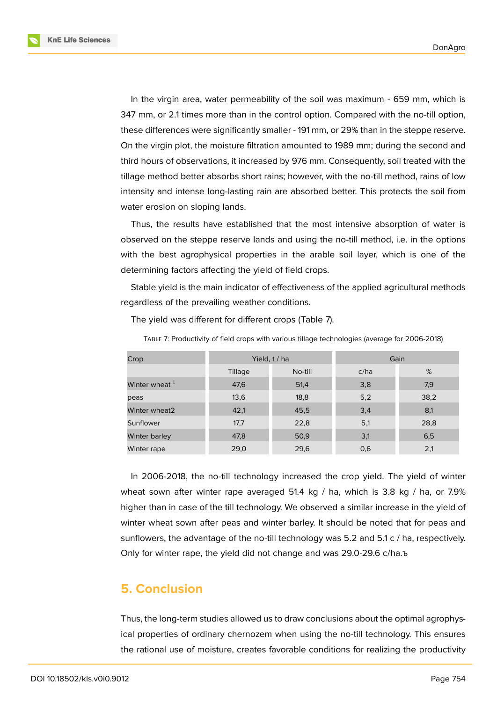**KnE Life Sciences** 



In the virgin area, water permeability of the soil was maximum - 659 mm, which is 347 mm, or 2.1 times more than in the control option. Compared with the no-till option, these differences were significantly smaller - 191 mm, or 29% than in the steppe reserve. On the virgin plot, the moisture filtration amounted to 1989 mm; during the second and third hours of observations, it increased by 976 mm. Consequently, soil treated with the tillage method better absorbs short rains; however, with the no-till method, rains of low intensity and intense long-lasting rain are absorbed better. This protects the soil from water erosion on sloping lands.

Thus, the results have established that the most intensive absorption of water is observed on the steppe reserve lands and using the no-till method, i.e. in the options with the best agrophysical properties in the arable soil layer, which is one of the determining factors affecting the yield of field crops.

Stable yield is the main indicator of effectiveness of the applied agricultural methods regardless of the prevailing weather conditions.

| Crop                      |         | Yield, t / ha | Gain |      |
|---------------------------|---------|---------------|------|------|
|                           | Tillage | No-till       | c/ha | %    |
| Winter wheat <sup>1</sup> | 47,6    | 51,4          | 3,8  | 7,9  |
| peas                      | 13,6    | 18,8          | 5,2  | 38,2 |
| Winter wheat2             | 42,1    | 45,5          | 3,4  | 8,1  |
| Sunflower                 | 17,7    | 22,8          | 5,1  | 28,8 |
| Winter barley             | 47,8    | 50,9          | 3,1  | 6,5  |
| Winter rape               | 29,0    | 29,6          | 0,6  | 2,1  |

The yield was different for different crops (Table 7).

TABLE 7: Productivity of field crops with various tillage technologies (average for 2006-2018)

In 2006-2018, the no-till technology increased the crop yield. The yield of winter wheat sown after winter rape averaged 51.4 kg / ha, which is 3.8 kg / ha, or 7.9% higher than in case of the till technology. We observed a similar increase in the yield of winter wheat sown after peas and winter barley. It should be noted that for peas and sunflowers, the advantage of the no-till technology was 5.2 and 5.1 c / ha, respectively. Only for winter rape, the yield did not change and was 29.0-29.6 c/ha.ъ

# **5. Conclusion**

Thus, the long-term studies allowed us to draw conclusions about the optimal agrophysical properties of ordinary chernozem when using the no-till technology. This ensures the rational use of moisture, creates favorable conditions for realizing the productivity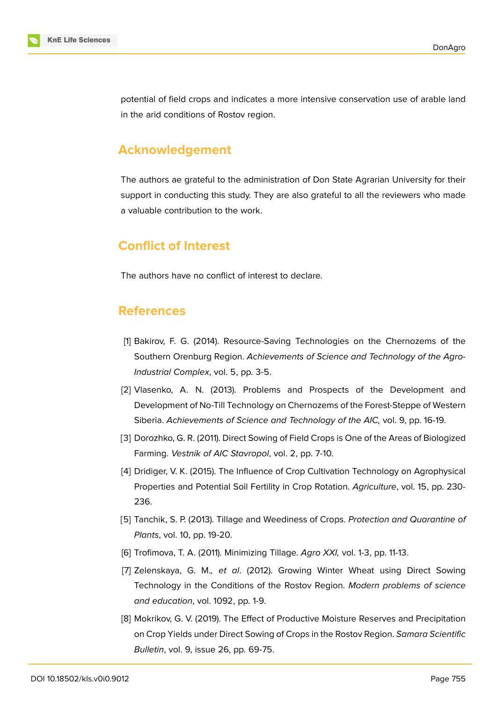

potential of field crops and indicates a more intensive conservation use of arable land in the arid conditions of Rostov region.

### **Acknowledgement**

The authors ae grateful to the administration of Don State Agrarian University for their support in conducting this study. They are also grateful to all the reviewers who made a valuable contribution to the work.

### **Conflict of Interest**

The authors have no conflict of interest to declare.

### **References**

- <span id="page-10-0"></span>[1] Bakirov, F. G. (2014). Resource-Saving Technologies on the Chernozems of the Southern Orenburg Region. *Achievements of Science and Technology of the Agro-Industrial Complex*, vol. 5, pp. 3-5.
- <span id="page-10-1"></span>[2] Vlasenko, A. N. (2013). Problems and Prospects of the Development and Development of No-Till Technology on Chernozems of the Forest-Steppe of Western Siberia. *Achievements of Science and Technology of the AIC,* vol. 9, pp. 16-19.
- <span id="page-10-2"></span>[3] Dorozhko, G. R. (2011). Direct Sowing of Field Crops is One of the Areas of Biologized Farming. *Vestnik of AIC Stavropol*, vol. 2, pp. 7-10.
- <span id="page-10-3"></span>[4] Dridiger, V. K. (2015). The Influence of Crop Cultivation Technology on Agrophysical Properties and Potential Soil Fertility in Crop Rotation. *Agriculture*, vol. 15, pp. 230- 236.
- [5] Tanchik, S. P. (2013). Tillage and Weediness of Crops. *Protection and Quarantine of Plants*, vol. 10, pp. 19-20.
- <span id="page-10-5"></span><span id="page-10-4"></span>[6] Trofimova, T. A. (2011). Minimizing Tillage. *Agro XXI,* vol. 1-3, pp. 11-13.
- [7] Zelenskaya, G. M.*, et al*. (2012). Growing Winter Wheat using Direct Sowing Technology in the Conditions of the Rostov Region. *Modern problems of science and education*, vol. 1092, pp. 1-9.
- <span id="page-10-6"></span>[8] Mokrikov, G. V. (2019). The Effect of Productive Moisture Reserves and Precipitation on Crop Yields under Direct Sowing of Crops in the Rostov Region. *Samara Scientific Bulletin*, vol. 9, issue 26, pp. 69-75.